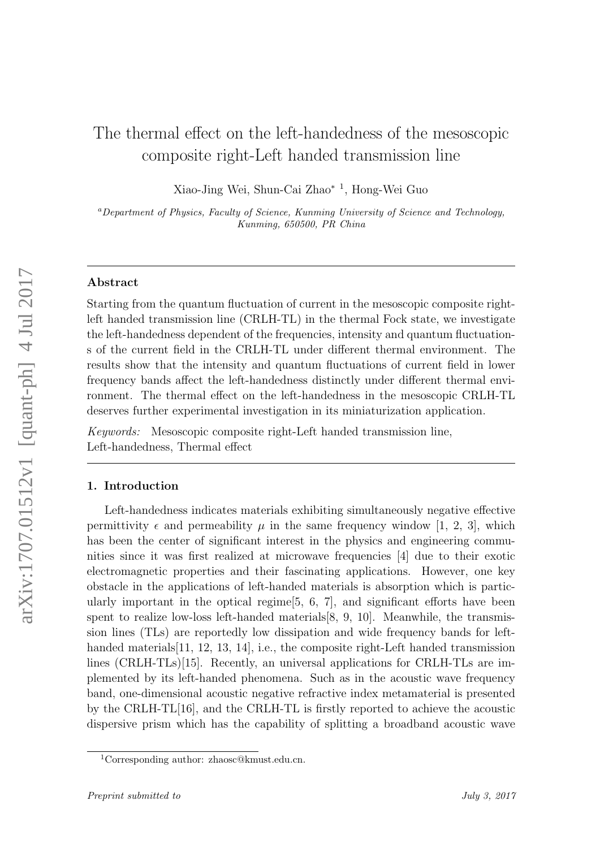# The thermal effect on the left-handedness of the mesoscopic composite right-Left handed transmission line

Xiao-Jing Wei, Shun-Cai Zhao<sup>∗</sup> <sup>1</sup> , Hong-Wei Guo

<sup>a</sup>Department of Physics, Faculty of Science, Kunming University of Science and Technology, Kunming, 650500, PR China

### Abstract

Starting from the quantum fluctuation of current in the mesoscopic composite rightleft handed transmission line (CRLH-TL) in the thermal Fock state, we investigate the left-handedness dependent of the frequencies, intensity and quantum fluctuations of the current field in the CRLH-TL under different thermal environment. The results show that the intensity and quantum fluctuations of current field in lower frequency bands affect the left-handedness distinctly under different thermal environment. The thermal effect on the left-handedness in the mesoscopic CRLH-TL deserves further experimental investigation in its miniaturization application.

Keywords: Mesoscopic composite right-Left handed transmission line, Left-handedness, Thermal effect

## 1. Introduction

Left-handedness indicates materials exhibiting simultaneously negative effective permittivity  $\epsilon$  and permeability  $\mu$  in the same frequency window [1, 2, 3], which has been the center of significant interest in the physics and engineering communities since it was first realized at microwave frequencies [4] due to their exotic electromagnetic properties and their fascinating applications. However, one key obstacle in the applications of left-handed materials is absorption which is particularly important in the optical regime  $[5, 6, 7]$ , and significant efforts have been spent to realize low-loss left-handed materials[8, 9, 10]. Meanwhile, the transmission lines (TLs) are reportedly low dissipation and wide frequency bands for lefthanded materials [11, 12, 13, 14], i.e., the composite right-Left handed transmission lines (CRLH-TLs)[15]. Recently, an universal applications for CRLH-TLs are implemented by its left-handed phenomena. Such as in the acoustic wave frequency band, one-dimensional acoustic negative refractive index metamaterial is presented by the CRLH-TL[16], and the CRLH-TL is firstly reported to achieve the acoustic dispersive prism which has the capability of splitting a broadband acoustic wave

<sup>1</sup>Corresponding author: zhaosc@kmust.edu.cn.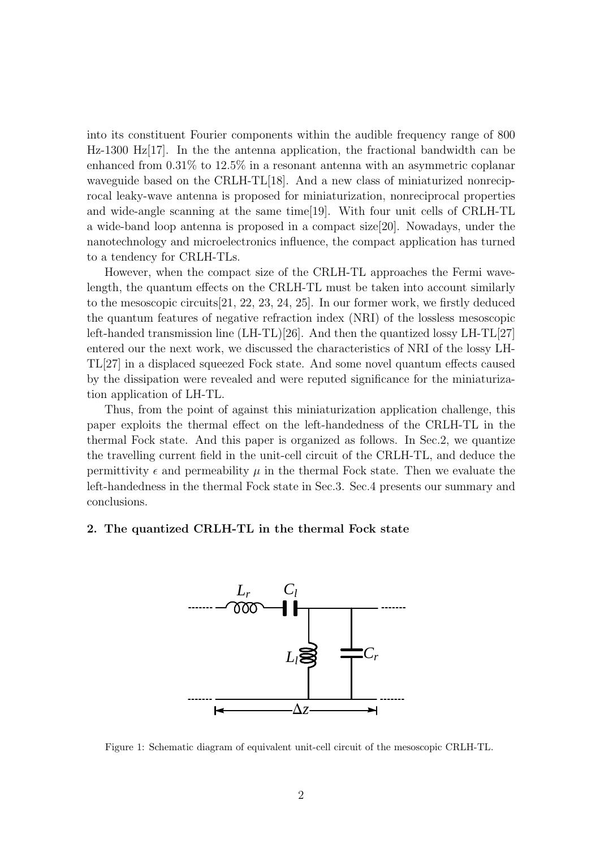into its constituent Fourier components within the audible frequency range of 800  $Hz-1300$  Hz $[17]$ . In the the antenna application, the fractional bandwidth can be enhanced from 0.31% to 12.5% in a resonant antenna with an asymmetric coplanar waveguide based on the CRLH-TL[18]. And a new class of miniaturized nonreciprocal leaky-wave antenna is proposed for miniaturization, nonreciprocal properties and wide-angle scanning at the same time[19]. With four unit cells of CRLH-TL a wide-band loop antenna is proposed in a compact size[20]. Nowadays, under the nanotechnology and microelectronics influence, the compact application has turned to a tendency for CRLH-TLs.

However, when the compact size of the CRLH-TL approaches the Fermi wavelength, the quantum effects on the CRLH-TL must be taken into account similarly to the mesoscopic circuits[21, 22, 23, 24, 25]. In our former work, we firstly deduced the quantum features of negative refraction index (NRI) of the lossless mesoscopic left-handed transmission line (LH-TL)[26]. And then the quantized lossy LH-TL[27] entered our the next work, we discussed the characteristics of NRI of the lossy LH-TL[27] in a displaced squeezed Fock state. And some novel quantum effects caused by the dissipation were revealed and were reputed significance for the miniaturization application of LH-TL.

Thus, from the point of against this miniaturization application challenge, this paper exploits the thermal effect on the left-handedness of the CRLH-TL in the thermal Fock state. And this paper is organized as follows. In Sec.2, we quantize the travelling current field in the unit-cell circuit of the CRLH-TL, and deduce the permittivity  $\epsilon$  and permeability  $\mu$  in the thermal Fock state. Then we evaluate the left-handedness in the thermal Fock state in Sec.3. Sec.4 presents our summary and conclusions.

### 2. The quantized CRLH-TL in the thermal Fock state



Figure 1: Schematic diagram of equivalent unit-cell circuit of the mesoscopic CRLH-TL.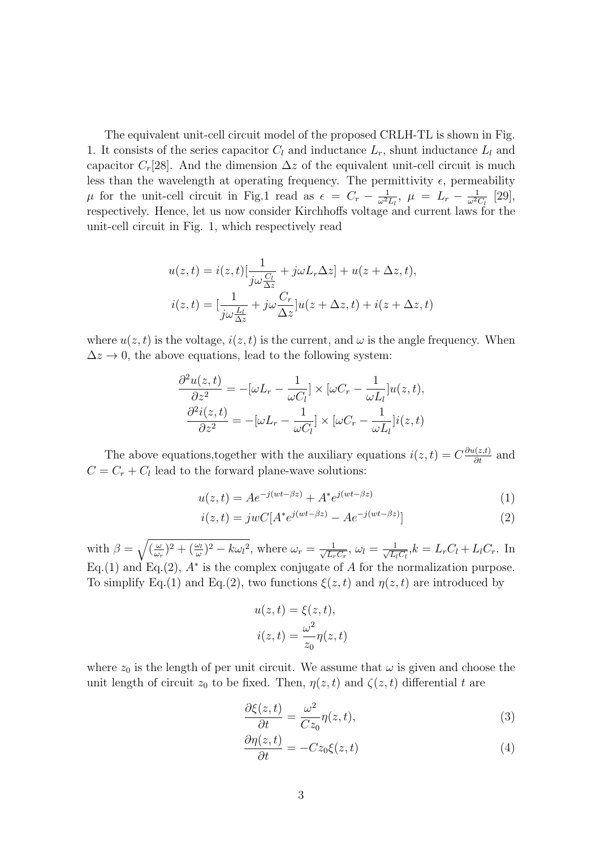The equivalent unit-cell circuit model of the proposed CRLH-TL is shown in Fig. 1. It consists of the series capacitor  $C_l$  and inductance  $L_r$ , shunt inductance  $L_l$  and capacitor  $C_r[28]$ . And the dimension  $\Delta z$  of the equivalent unit-cell circuit is much less than the wavelength at operating frequency. The permittivity  $\epsilon$ , permeability  $\mu$  for the unit-cell circuit in Fig.1 read as  $\epsilon = C_r - \frac{1}{\omega^2}$  $\frac{1}{\omega^2 L_l}, \ \mu \ = \ L_r - \frac{1}{\omega^2 l}$  $\frac{1}{\omega^2 C_l}$  [29], respectively. Hence, let us now consider Kirchhoffs voltage and current laws for the unit-cell circuit in Fig. 1, which respectively read

$$
u(z,t) = i(z,t)\left[\frac{1}{j\omega\frac{C_l}{\Delta z}} + j\omega L_r \Delta z\right] + u(z + \Delta z, t),
$$
  

$$
i(z,t) = \left[\frac{1}{j\omega\frac{L_l}{\Delta z}} + j\omega\frac{C_r}{\Delta z}\right]u(z + \Delta z, t) + i(z + \Delta z, t)
$$

where  $u(z, t)$  is the voltage,  $i(z, t)$  is the current, and  $\omega$  is the angle frequency. When  $\Delta z \rightarrow 0$ , the above equations, lead to the following system:

$$
\frac{\partial^2 u(z,t)}{\partial z^2} = -[\omega L_r - \frac{1}{\omega C_l}] \times [\omega C_r - \frac{1}{\omega L_l}] u(z,t),
$$
  

$$
\frac{\partial^2 i(z,t)}{\partial z^2} = -[\omega L_r - \frac{1}{\omega C_l}] \times [\omega C_r - \frac{1}{\omega L_l}] i(z,t)
$$

The above equations,together with the auxiliary equations  $i(z, t) = C \frac{\partial u(z, t)}{\partial t}$  and  $C = C_r + C_l$  lead to the forward plane-wave solutions:

$$
u(z,t) = Ae^{-j(wt - \beta z)} + A^* e^{j(wt - \beta z)}
$$
(1)

$$
i(z,t) = jwC[A^*e^{j(wt-\beta z)} - Ae^{-j(wt-\beta z)}]
$$
\n(2)

with  $\beta = \sqrt{\frac{\omega}{\omega}}$  $(\frac{\omega}{\omega_r})^2 + (\frac{\omega_l}{\omega})^2 - k\omega_l^2$ , where  $\omega_r = \frac{1}{\sqrt{L_r}}$  $\frac{1}{L_rC_r},\,\omega_l=\frac{1}{\sqrt{L_l}}$  $\frac{1}{\overline{L_l C_l}}$ ,  $k = L_r C_l + L_l C_r$ . In Eq.(1) and Eq.(2),  $A^*$  is the complex conjugate of A for the normalization purpose. To simplify Eq.(1) and Eq.(2), two functions  $\xi(z, t)$  and  $\eta(z, t)$  are introduced by

$$
u(z, t) = \xi(z, t),
$$
  

$$
i(z, t) = \frac{\omega^2}{z_0} \eta(z, t)
$$

where  $z_0$  is the length of per unit circuit. We assume that  $\omega$  is given and choose the unit length of circuit  $z_0$  to be fixed. Then,  $\eta(z, t)$  and  $\zeta(z, t)$  differential t are

$$
\frac{\partial \xi(z,t)}{\partial t} = \frac{\omega^2}{Cz_0} \eta(z,t),\tag{3}
$$

$$
\frac{\partial \eta(z,t)}{\partial t} = -Cz_0\xi(z,t) \tag{4}
$$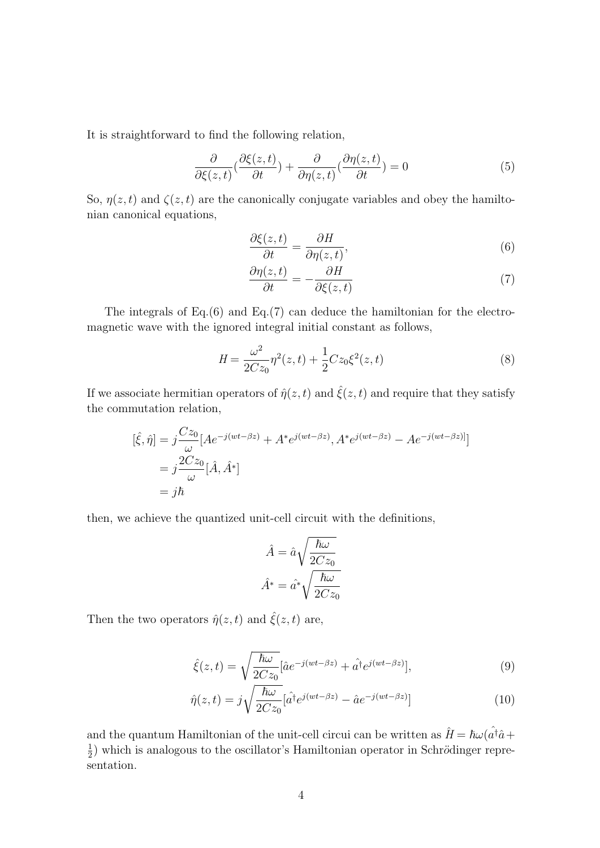It is straightforward to find the following relation,

$$
\frac{\partial}{\partial \xi(z,t)} \left( \frac{\partial \xi(z,t)}{\partial t} \right) + \frac{\partial}{\partial \eta(z,t)} \left( \frac{\partial \eta(z,t)}{\partial t} \right) = 0 \tag{5}
$$

So,  $\eta(z, t)$  and  $\zeta(z, t)$  are the canonically conjugate variables and obey the hamiltonian canonical equations,

$$
\frac{\partial \xi(z,t)}{\partial t} = \frac{\partial H}{\partial \eta(z,t)},\tag{6}
$$

$$
\frac{\partial \eta(z,t)}{\partial t} = -\frac{\partial H}{\partial \xi(z,t)}\tag{7}
$$

The integrals of Eq.(6) and Eq.(7) can deduce the hamiltonian for the electromagnetic wave with the ignored integral initial constant as follows,

$$
H = \frac{\omega^2}{2Cz_0}\eta^2(z,t) + \frac{1}{2}Cz_0\xi^2(z,t)
$$
\n(8)

If we associate hermitian operators of  $\hat{\eta}(z,t)$  and  $\hat{\xi}(z,t)$  and require that they satisfy the commutation relation,

$$
[\hat{\xi}, \hat{\eta}] = j \frac{Cz_0}{\omega} [Ae^{-j(wt - \beta z)} + A^* e^{j(wt - \beta z)}, A^* e^{j(wt - \beta z)} - A e^{-j(wt - \beta z)}]
$$
  
=  $j \frac{2Cz_0}{\omega} [\hat{A}, \hat{A}^*]$   
=  $j\hbar$ 

then, we achieve the quantized unit-cell circuit with the definitions,

$$
\hat{A} = \hat{a}\sqrt{\frac{\hbar\omega}{2Cz_0}}
$$

$$
\hat{A}^* = \hat{a}^*\sqrt{\frac{\hbar\omega}{2Cz_0}}
$$

Then the two operators  $\hat{\eta}(z,t)$  and  $\hat{\xi}(z,t)$  are,

$$
\hat{\xi}(z,t) = \sqrt{\frac{\hbar\omega}{2Cz_0}} [\hat{a}e^{-j(wt-\beta z)} + \hat{a}^\dagger e^{j(wt-\beta z)}],\tag{9}
$$

$$
\hat{\eta}(z,t) = j\sqrt{\frac{\hbar\omega}{2Cz_0}} [\hat{a}^{\dagger}e^{j(wt-\beta z)} - \hat{a}e^{-j(wt-\beta z)}]
$$
\n(10)

and the quantum Hamiltonian of the unit-cell circui can be written as  $\hat{H} = \hbar \omega (\hat{a}^{\dagger} \hat{a} +$ 1  $\frac{1}{2}$ ) which is analogous to the oscillator's Hamiltonian operator in Schrödinger representation.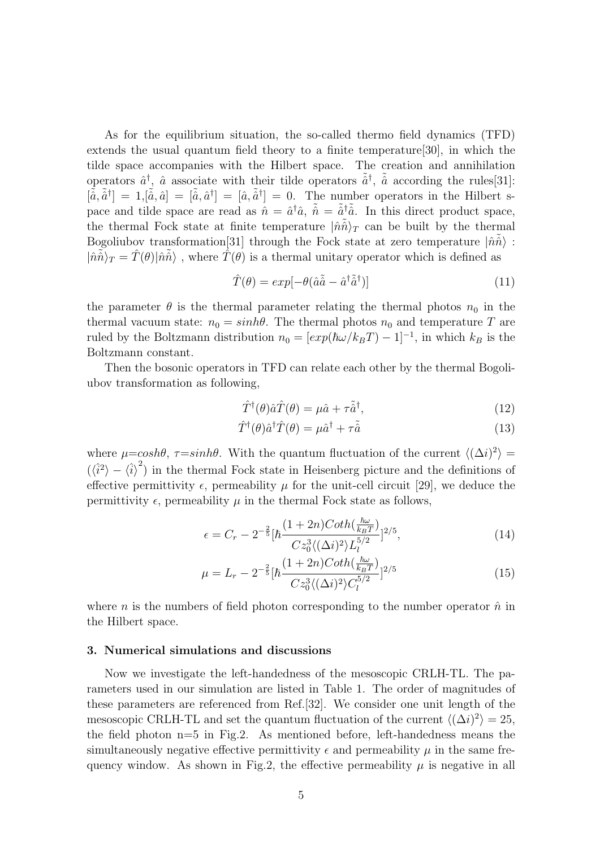As for the equilibrium situation, the so-called thermo field dynamics (TFD) extends the usual quantum field theory to a finite temperature[30], in which the tilde space accompanies with the Hilbert space. The creation and annihilation operators  $\hat{a}^{\dagger}$ ,  $\hat{a}$  associate with their tilde operators  $\tilde{\hat{a}}^{\dagger}$ ,  $\tilde{\hat{a}}$  according the rules [31]:  $[\tilde{\hat{a}}, \tilde{\hat{a}}^{\dagger}] = 1, [\tilde{\hat{a}}, \hat{a}] = [\tilde{\hat{a}}, \tilde{\hat{a}}^{\dagger}] = [\hat{a}, \tilde{\hat{a}}^{\dagger}] = 0$ . The number operators in the Hilbert space and tilde space are read as  $\hat{n} = \hat{a}^{\dagger} \hat{a}$ ,  $\tilde{\hat{n}} = \tilde{\hat{a}}^{\dagger} \tilde{\hat{a}}$ . In this direct product space, the thermal Fock state at finite temperature  $|\hat{n}\hat{n}\rangle_T$  can be built by the thermal Bogoliubov transformation<sup>[31]</sup> through the Fock state at zero temperature  $|\hat{n}\tilde{\hat{n}}\rangle$ :  $|\hat{n}\tilde{\hat{n}}\rangle_T = \hat{T}(\theta)|\hat{n}\tilde{\hat{n}}\rangle$ , where  $\hat{T}(\theta)$  is a thermal unitary operator which is defined as

$$
\hat{T}(\theta) = exp[-\theta(\hat{a}\tilde{\hat{a}} - \hat{a}^\dagger \tilde{\hat{a}}^\dagger)]
$$
\n(11)

the parameter  $\theta$  is the thermal parameter relating the thermal photos  $n_0$  in the thermal vacuum state:  $n_0 = \sinh\theta$ . The thermal photos  $n_0$  and temperature T are ruled by the Boltzmann distribution  $n_0 = [exp(\hbar\omega/k_BT) - 1]^{-1}$ , in which  $k_B$  is the Boltzmann constant.

Then the bosonic operators in TFD can relate each other by the thermal Bogoliubov transformation as following,

$$
\hat{T}^{\dagger}(\theta)\hat{a}\hat{T}(\theta) = \mu\hat{a} + \tau\tilde{\hat{a}}^{\dagger},\tag{12}
$$

$$
\hat{T}^{\dagger}(\theta)\hat{a}^{\dagger}\hat{T}(\theta) = \mu\hat{a}^{\dagger} + \tau\tilde{\hat{a}}\tag{13}
$$

where  $\mu = \cosh\theta$ ,  $\tau = \sinh\theta$ . With the quantum fluctuation of the current  $\langle (\Delta i)^2 \rangle =$  $(\langle \hat{i}^2 \rangle - \langle \hat{i} \rangle^2)$  in the thermal Fock state in Heisenberg picture and the definitions of effective permittivity  $\epsilon$ , permeability  $\mu$  for the unit-cell circuit [29], we deduce the permittivity  $\epsilon$ , permeability  $\mu$  in the thermal Fock state as follows,

$$
\epsilon = C_r - 2^{-\frac{2}{5}} [\hbar \frac{(1+2n)Coth(\frac{\hbar \omega}{k_B T})}{Cz_0^3 \langle (\Delta i)^2 \rangle L_l^{5/2}}]^{2/5},\tag{14}
$$

$$
\mu = L_r - 2^{-\frac{2}{5}} [\hbar \frac{(1+2n)Coth(\frac{\hbar \omega}{k_B T})}{Cz_0^3 \langle (\Delta i)^2 \rangle C_l^{5/2}}]^{2/5}
$$
(15)

where n is the numbers of field photon corresponding to the number operator  $\hat{n}$  in the Hilbert space.

#### 3. Numerical simulations and discussions

Now we investigate the left-handedness of the mesoscopic CRLH-TL. The parameters used in our simulation are listed in Table 1. The order of magnitudes of these parameters are referenced from Ref.[32]. We consider one unit length of the mesoscopic CRLH-TL and set the quantum fluctuation of the current  $\langle (\Delta i)^2 \rangle = 25$ , the field photon  $n=5$  in Fig.2. As mentioned before, left-handedness means the simultaneously negative effective permittivity  $\epsilon$  and permeability  $\mu$  in the same frequency window. As shown in Fig.2, the effective permeability  $\mu$  is negative in all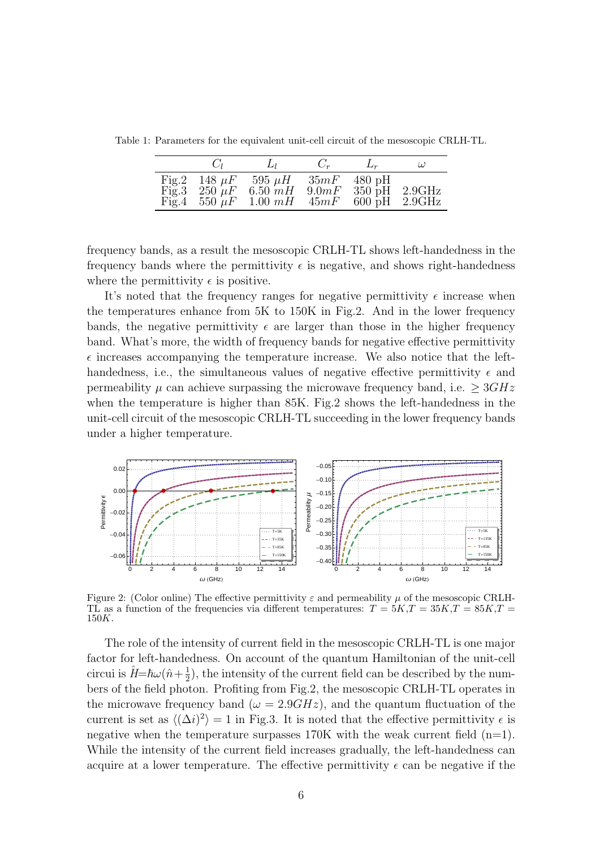Table 1: Parameters for the equivalent unit-cell circuit of the mesoscopic CRLH-TL.

| $\binom{1}{i}$ | $L_1$                                                                                   | $C_r$                  | $L_r$                                           | $\omega$ |
|----------------|-----------------------------------------------------------------------------------------|------------------------|-------------------------------------------------|----------|
|                | Fig.2 148 $\mu$ F 595 $\mu$ H<br>Fig.3 250 $\mu$ F 6.50 mH<br>Fig.4 550 $\mu$ F 1.00 mH | 35mF<br>9.0 mF<br>45mF | $480$ pH<br>$350$ pH<br>$600 \text{ pH}$ 2.9GHz | 2.9GHz   |

frequency bands, as a result the mesoscopic CRLH-TL shows left-handedness in the frequency bands where the permittivity  $\epsilon$  is negative, and shows right-handedness where the permittivity  $\epsilon$  is positive.

It's noted that the frequency ranges for negative permittivity  $\epsilon$  increase when the temperatures enhance from 5K to 150K in Fig.2. And in the lower frequency bands, the negative permittivity  $\epsilon$  are larger than those in the higher frequency band. What's more, the width of frequency bands for negative effective permittivity  $\epsilon$  increases accompanying the temperature increase. We also notice that the lefthandedness, i.e., the simultaneous values of negative effective permittivity  $\epsilon$  and permeability  $\mu$  can achieve surpassing the microwave frequency band, i.e.  $\geq 3GHz$ when the temperature is higher than 85K. Fig.2 shows the left-handedness in the unit-cell circuit of the mesoscopic CRLH-TL succeeding in the lower frequency bands under a higher temperature.



Figure 2: (Color online) The effective permittivity  $\varepsilon$  and permeability  $\mu$  of the mesoscopic CRLH-TL as a function of the frequencies via different temperatures:  $T = 5K$ ,  $T = 35K$ ,  $T = 85K$ ,  $T = 15K$  $150K$ .

The role of the intensity of current field in the mesoscopic CRLH-TL is one major factor for left-handedness. On account of the quantum Hamiltonian of the unit-cell circui is  $\hat{H} = \hbar\omega(\hat{n} + \frac{1}{2})$  $\frac{1}{2}$ , the intensity of the current field can be described by the numbers of the field photon. Profiting from Fig.2, the mesoscopic CRLH-TL operates in the microwave frequency band ( $\omega = 2.9GHz$ ), and the quantum fluctuation of the current is set as  $\langle (\Delta i)^2 \rangle = 1$  in Fig.3. It is noted that the effective permittivity  $\epsilon$  is negative when the temperature surpasses  $170K$  with the weak current field  $(n=1)$ . While the intensity of the current field increases gradually, the left-handedness can acquire at a lower temperature. The effective permittivity  $\epsilon$  can be negative if the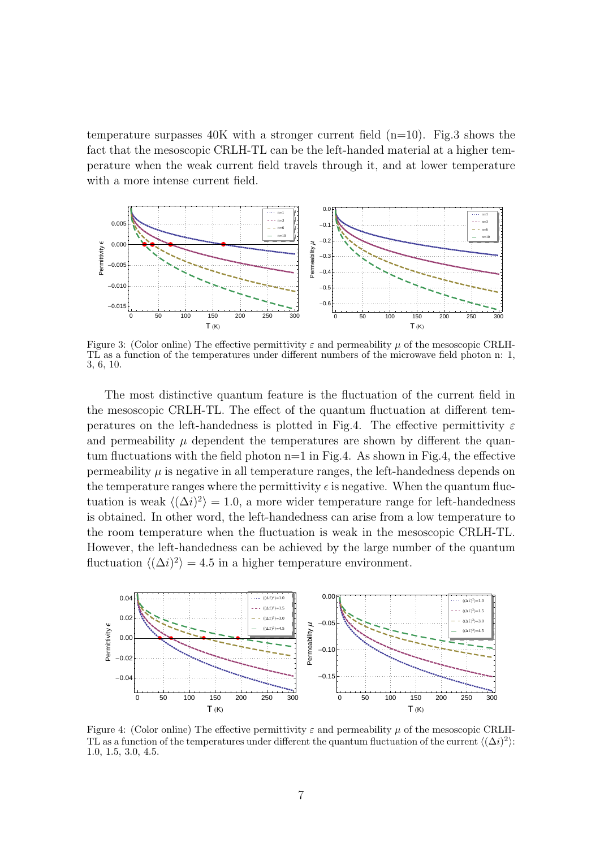temperature surpasses  $40K$  with a stronger current field  $(n=10)$ . Fig.3 shows the fact that the mesoscopic CRLH-TL can be the left-handed material at a higher temperature when the weak current field travels through it, and at lower temperature with a more intense current field.



Figure 3: (Color online) The effective permittivity  $\varepsilon$  and permeability  $\mu$  of the mesoscopic CRLH-TL as a function of the temperatures under different numbers of the microwave field photon n: 1, 3, 6, 10.

The most distinctive quantum feature is the fluctuation of the current field in the mesoscopic CRLH-TL. The effect of the quantum fluctuation at different temperatures on the left-handedness is plotted in Fig.4. The effective permittivity  $\varepsilon$ and permeability  $\mu$  dependent the temperatures are shown by different the quantum fluctuations with the field photon  $n=1$  in Fig.4. As shown in Fig.4, the effective permeability  $\mu$  is negative in all temperature ranges, the left-handedness depends on the temperature ranges where the permittivity  $\epsilon$  is negative. When the quantum fluctuation is weak  $\langle (\Delta i)^2 \rangle = 1.0$ , a more wider temperature range for left-handedness is obtained. In other word, the left-handedness can arise from a low temperature to the room temperature when the fluctuation is weak in the mesoscopic CRLH-TL. However, the left-handedness can be achieved by the large number of the quantum fluctuation  $\langle (\Delta i)^2 \rangle = 4.5$  in a higher temperature environment.



Figure 4: (Color online) The effective permittivity  $\varepsilon$  and permeability  $\mu$  of the mesoscopic CRLH-TL as a function of the temperatures under different the quantum fluctuation of the current  $\langle (\Delta i)^2 \rangle$ : 1.0, 1.5, 3.0, 4.5.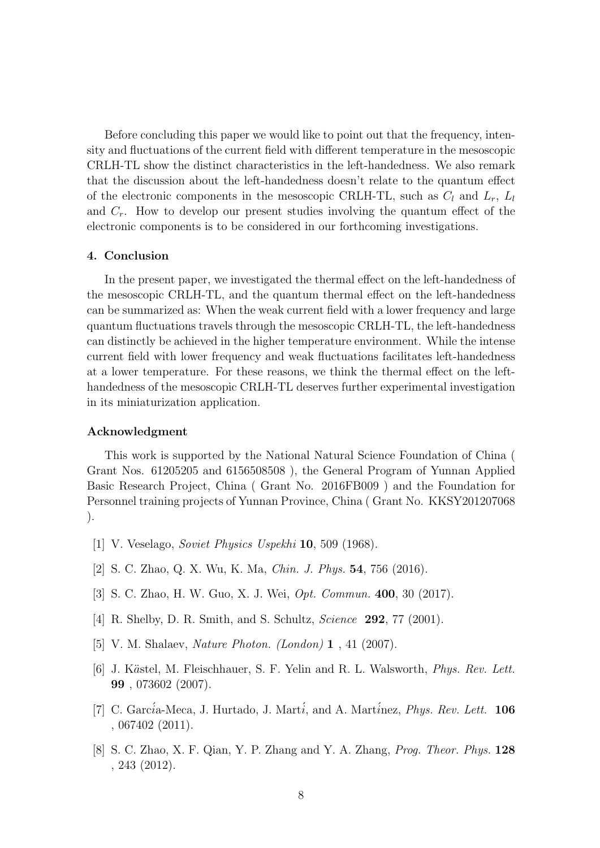Before concluding this paper we would like to point out that the frequency, intensity and fluctuations of the current field with different temperature in the mesoscopic CRLH-TL show the distinct characteristics in the left-handedness. We also remark that the discussion about the left-handedness doesn't relate to the quantum effect of the electronic components in the mesoscopic CRLH-TL, such as  $C_l$  and  $L_r$ ,  $L_l$ and  $C_r$ . How to develop our present studies involving the quantum effect of the electronic components is to be considered in our forthcoming investigations.

### 4. Conclusion

In the present paper, we investigated the thermal effect on the left-handedness of the mesoscopic CRLH-TL, and the quantum thermal effect on the left-handedness can be summarized as: When the weak current field with a lower frequency and large quantum fluctuations travels through the mesoscopic CRLH-TL, the left-handedness can distinctly be achieved in the higher temperature environment. While the intense current field with lower frequency and weak fluctuations facilitates left-handedness at a lower temperature. For these reasons, we think the thermal effect on the lefthandedness of the mesoscopic CRLH-TL deserves further experimental investigation in its miniaturization application.

### Acknowledgment

This work is supported by the National Natural Science Foundation of China ( Grant Nos. 61205205 and 6156508508 ), the General Program of Yunnan Applied Basic Research Project, China ( Grant No. 2016FB009 ) and the Foundation for Personnel training projects of Yunnan Province, China ( Grant No. KKSY201207068 ).

- [1] V. Veselago, Soviet Physics Uspekhi 10, 509 (1968).
- [2] S. C. Zhao, Q. X. Wu, K. Ma, Chin. J. Phys. 54, 756 (2016).
- [3] S. C. Zhao, H. W. Guo, X. J. Wei, Opt. Commun. 400, 30 (2017).
- [4] R. Shelby, D. R. Smith, and S. Schultz, *Science* **292**, 77 (2001).
- [5] V. M. Shalaev, Nature Photon. (London) 1 , 41 (2007).
- [6] J. Kästel, M. Fleischhauer, S. F. Yelin and R. L. Walsworth, *Phys. Rev. Lett.* 99 , 073602 (2007).
- [7] C. García-Meca, J. Hurtado, J. Martí, and A. Martínez, *Phys. Rev. Lett.* 106 , 067402 (2011).
- [8] S. C. Zhao, X. F. Qian, Y. P. Zhang and Y. A. Zhang, Prog. Theor. Phys. 128 , 243 (2012).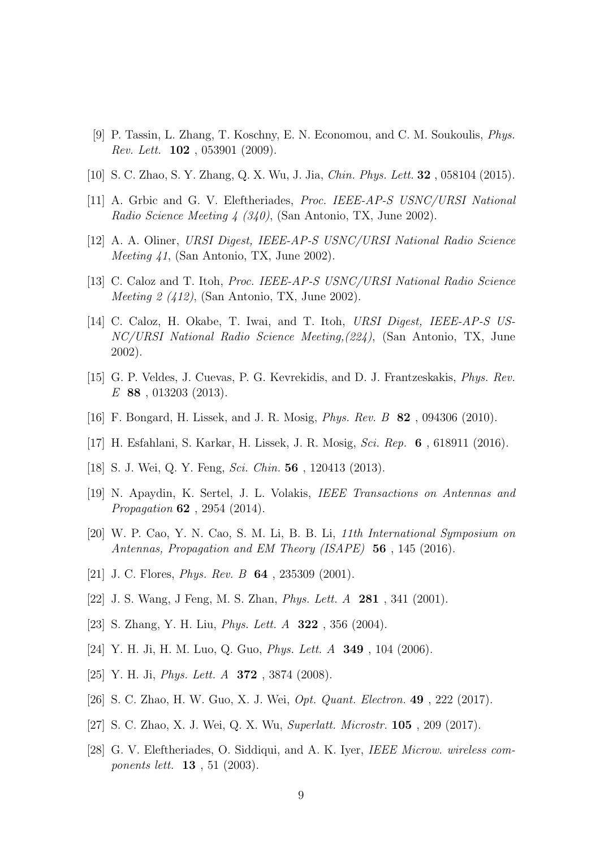- [9] P. Tassin, L. Zhang, T. Koschny, E. N. Economou, and C. M. Soukoulis, Phys. Rev. Lett. 102 , 053901 (2009).
- [10] S. C. Zhao, S. Y. Zhang, Q. X. Wu, J. Jia, Chin. Phys. Lett. 32 , 058104 (2015).
- [11] A. Grbic and G. V. Eleftheriades, Proc. IEEE-AP-S USNC/URSI National Radio Science Meeting 4 (340), (San Antonio, TX, June 2002).
- [12] A. A. Oliner, URSI Digest, IEEE-AP-S USNC/URSI National Radio Science Meeting 41, (San Antonio, TX, June 2002).
- [13] C. Caloz and T. Itoh, Proc. IEEE-AP-S USNC/URSI National Radio Science Meeting 2 (412), (San Antonio, TX, June 2002).
- [14] C. Caloz, H. Okabe, T. Iwai, and T. Itoh, URSI Digest, IEEE-AP-S US-NC/URSI National Radio Science Meeting,(224), (San Antonio, TX, June 2002).
- [15] G. P. Veldes, J. Cuevas, P. G. Kevrekidis, and D. J. Frantzeskakis, Phys. Rev. E 88 , 013203 (2013).
- [16] F. Bongard, H. Lissek, and J. R. Mosig, Phys. Rev. B 82 , 094306 (2010).
- [17] H. Esfahlani, S. Karkar, H. Lissek, J. R. Mosig, Sci. Rep. 6 , 618911 (2016).
- [18] S. J. Wei, Q. Y. Feng, Sci. Chin. **56**, 120413 (2013).
- [19] N. Apaydin, K. Sertel, J. L. Volakis, IEEE Transactions on Antennas and Propagation 62 , 2954 (2014).
- [20] W. P. Cao, Y. N. Cao, S. M. Li, B. B. Li, 11th International Symposium on Antennas, Propagation and EM Theory (ISAPE) 56, 145 (2016).
- [21] J. C. Flores, *Phys. Rev. B* **64**, 235309 (2001).
- [22] J. S. Wang, J Feng, M. S. Zhan, Phys. Lett. A 281 , 341 (2001).
- [23] S. Zhang, Y. H. Liu, *Phys. Lett. A* **322**, 356 (2004).
- [24] Y. H. Ji, H. M. Luo, Q. Guo, Phys. Lett. A 349 , 104 (2006).
- [25] Y. H. Ji, *Phys. Lett. A* **372**, 3874 (2008).
- [26] S. C. Zhao, H. W. Guo, X. J. Wei, Opt. Quant. Electron. 49 , 222 (2017).
- [27] S. C. Zhao, X. J. Wei, Q. X. Wu, Superlatt. Microstr. 105 , 209 (2017).
- [28] G. V. Eleftheriades, O. Siddiqui, and A. K. Iyer, IEEE Microw. wireless components lett. 13 , 51 (2003).